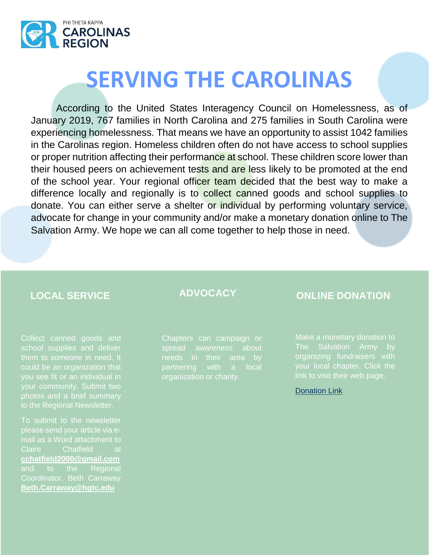

# **SERVING THE CAROLINAS**

According to the United States Interagency Council on Homelessness, as of January 2019, 767 families in North Carolina and 275 families in South Carolina were experiencing homelessness. That means we have an opportunity to assist 1042 families in the Carolinas region. Homeless children often do not have access to school supplies or proper nutrition affecting their performance at school. These children score lower than their housed peers on achievement tests and are less likely to be promoted at the end of the school year. Your regional officer team decided that the best way to make a difference locally and regionally is to collect canned goods and school supplies to donate. You can either serve a shelter or individual by performing voluntary service, advocate for change in your community and/or make a monetary donation online to The Salvation Army. We hope we can all come together to help those in need.

Collect canned goods and school supplies and deliver could be an organization that your community. Submit two to the Regional Newsletter.

To submit to the newsletter mail as a Word attachment to Claire Chatfield at **cchatfield2000@gmail.com** and to the Regional Coordinator, Beth Carraway **Beth.Carraway@hgtc.edu**

Chapters can campaign or spread awareness about needs in their area by partnering with a local

### **LOCAL SERVICE ADVOCACY ONLINE DONATION**

organizing fundraisers with your local chapter. Click the link to visit their web page.

### [Donation Link](https://give.salvationarmycarolinas.org/give/172207/#!/donation/checkout)